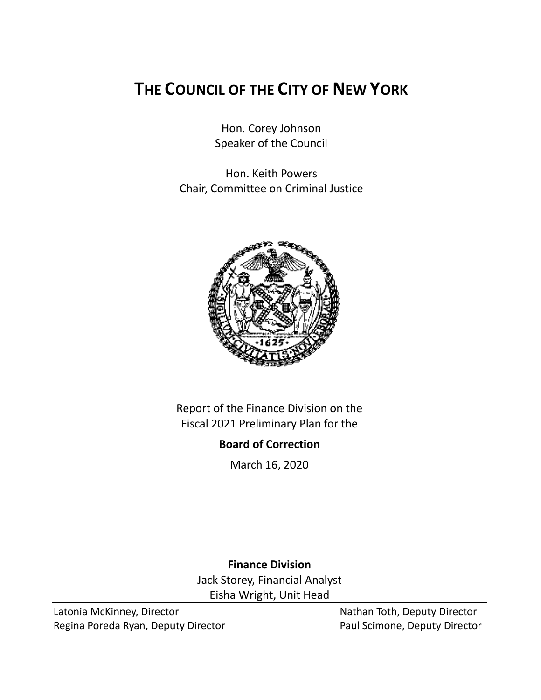# **THE COUNCIL OF THE CITY OF NEW YORK**

Hon. Corey Johnson Speaker of the Council

Hon. Keith Powers Chair, Committee on Criminal Justice



Report of the Finance Division on the Fiscal 2021 Preliminary Plan for the

# **Board of Correction**

March 16, 2020

**Finance Division** Jack Storey, Financial Analyst Eisha Wright, Unit Head

Latonia McKinney, Director Nathan Toth, Deputy Director Regina Poreda Ryan, Deputy Director **Paul Scimone, Deputy Director**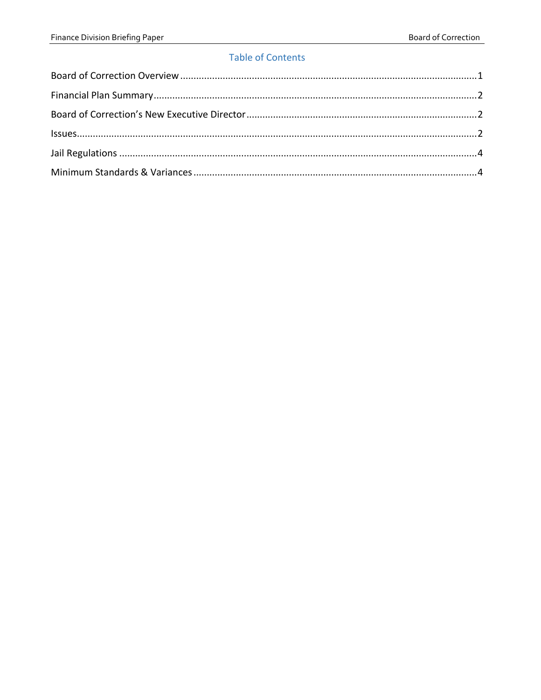# **Table of Contents**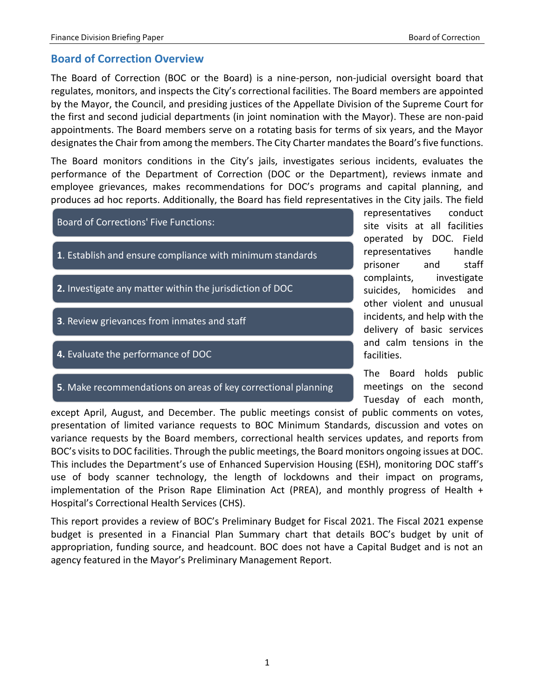# <span id="page-2-0"></span>**Board of Correction Overview**

The Board of Correction (BOC or the Board) is a nine-person, non-judicial oversight board that regulates, monitors, and inspects the City's correctional facilities. The Board members are appointed by the Mayor, the Council, and presiding justices of the Appellate Division of the Supreme Court for the first and second judicial departments (in joint nomination with the Mayor). These are non-paid appointments. The Board members serve on a rotating basis for terms of six years, and the Mayor designates the Chair from among the members. The City Charter mandates the Board's five functions.

The Board monitors conditions in the City's jails, investigates serious incidents, evaluates the performance of the Department of Correction (DOC or the Department), reviews inmate and employee grievances, makes recommendations for DOC's programs and capital planning, and produces ad hoc reports. Additionally, the Board has field representatives in the City jails. The field



representatives conduct site visits at all facilities operated by DOC. Field representatives handle prisoner and staff complaints, investigate suicides, homicides and other violent and unusual incidents, and help with the delivery of basic services and calm tensions in the facilities.

The Board holds public meetings on the second Tuesday of each month,

except April, August, and December. The public meetings consist of public comments on votes, presentation of limited variance requests to BOC Minimum Standards, discussion and votes on variance requests by the Board members, correctional health services updates, and reports from BOC's visits to DOC facilities. Through the public meetings, the Board monitors ongoing issues at DOC. This includes the Department's use of Enhanced Supervision Housing (ESH), monitoring DOC staff's use of body scanner technology, the length of lockdowns and their impact on programs, implementation of the Prison Rape Elimination Act (PREA), and monthly progress of Health + Hospital's Correctional Health Services (CHS).

This report provides a review of BOC's Preliminary Budget for Fiscal 2021. The Fiscal 2021 expense budget is presented in a Financial Plan Summary chart that details BOC's budget by unit of appropriation, funding source, and headcount. BOC does not have a Capital Budget and is not an agency featured in the Mayor's Preliminary Management Report.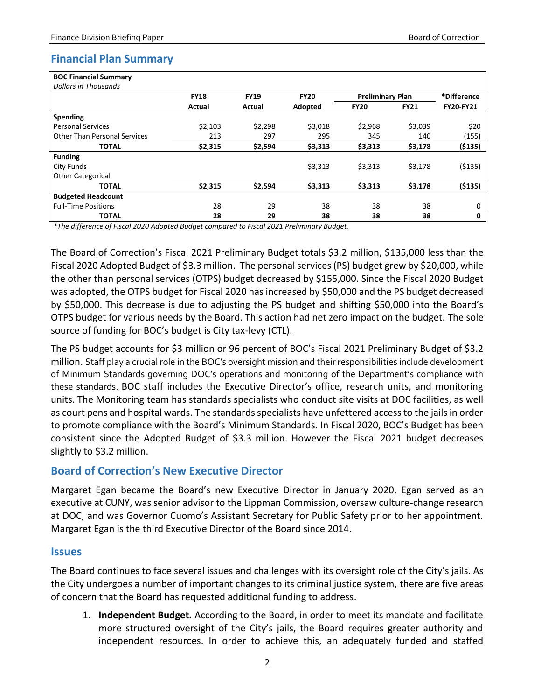# <span id="page-3-0"></span>**Financial Plan Summary**

| <b>BOC Financial Summary</b>        |             |             |             |                         |             |                  |
|-------------------------------------|-------------|-------------|-------------|-------------------------|-------------|------------------|
| Dollars in Thousands                |             |             |             |                         |             |                  |
|                                     | <b>FY18</b> | <b>FY19</b> | <b>FY20</b> | <b>Preliminary Plan</b> |             | *Difference      |
|                                     | Actual      | Actual      | Adopted     | <b>FY20</b>             | <b>FY21</b> | <b>FY20-FY21</b> |
| Spending                            |             |             |             |                         |             |                  |
| <b>Personal Services</b>            | \$2,103     | \$2,298     | \$3,018     | \$2,968                 | \$3,039     | \$20             |
| <b>Other Than Personal Services</b> | 213         | 297         | 295         | 345                     | 140         | (155)            |
| <b>TOTAL</b>                        | \$2,315     | \$2,594     | \$3,313     | \$3,313                 | \$3,178     | (5135)           |
| <b>Funding</b>                      |             |             |             |                         |             |                  |
| City Funds                          |             |             | \$3,313     | \$3.313                 | \$3,178     | ( \$135)         |
| <b>Other Categorical</b>            |             |             |             |                         |             |                  |
| <b>TOTAL</b>                        | \$2,315     | \$2,594     | \$3,313     | \$3,313                 | \$3,178     | (5135)           |
| <b>Budgeted Headcount</b>           |             |             |             |                         |             |                  |
| <b>Full-Time Positions</b>          | 28          | 29          | 38          | 38                      | 38          | 0                |
| <b>TOTAL</b>                        | 28          | 29          | 38          | 38                      | 38          | 0                |

*\*The difference of Fiscal 2020 Adopted Budget compared to Fiscal 2021 Preliminary Budget.*

The Board of Correction's Fiscal 2021 Preliminary Budget totals \$3.2 million, \$135,000 less than the Fiscal 2020 Adopted Budget of \$3.3 million. The personal services (PS) budget grew by \$20,000, while the other than personal services (OTPS) budget decreased by \$155,000. Since the Fiscal 2020 Budget was adopted, the OTPS budget for Fiscal 2020 has increased by \$50,000 and the PS budget decreased by \$50,000. This decrease is due to adjusting the PS budget and shifting \$50,000 into the Board's OTPS budget for various needs by the Board. This action had net zero impact on the budget. The sole source of funding for BOC's budget is City tax-levy (CTL).

The PS budget accounts for \$3 million or 96 percent of BOC's Fiscal 2021 Preliminary Budget of \$3.2 million. Staff play a crucial role in the BOC's oversight mission and their responsibilities include development of Minimum Standards governing DOC's operations and monitoring of the Department's compliance with these standards. BOC staff includes the Executive Director's office, research units, and monitoring units. The Monitoring team has standards specialists who conduct site visits at DOC facilities, as well as court pens and hospital wards. The standards specialists have unfettered access to the jails in order to promote compliance with the Board's Minimum Standards. In Fiscal 2020, BOC's Budget has been consistent since the Adopted Budget of \$3.3 million. However the Fiscal 2021 budget decreases slightly to \$3.2 million.

# <span id="page-3-1"></span>**Board of Correction's New Executive Director**

Margaret Egan became the Board's new Executive Director in January 2020. Egan served as an executive at CUNY, was senior advisor to the Lippman Commission, oversaw culture-change research at DOC, and was Governor Cuomo's Assistant Secretary for Public Safety prior to her appointment. Margaret Egan is the third Executive Director of the Board since 2014.

# <span id="page-3-2"></span>**Issues**

The Board continues to face several issues and challenges with its oversight role of the City's jails. As the City undergoes a number of important changes to its criminal justice system, there are five areas of concern that the Board has requested additional funding to address.

1. **Independent Budget.** According to the Board, in order to meet its mandate and facilitate more structured oversight of the City's jails, the Board requires greater authority and independent resources. In order to achieve this, an adequately funded and staffed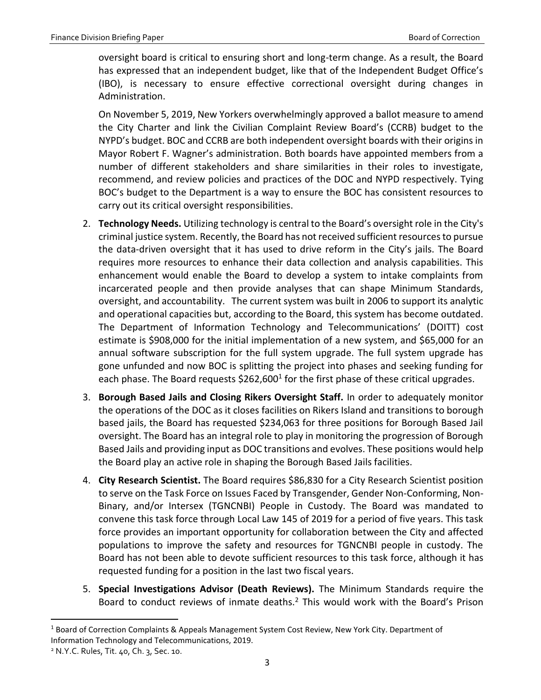oversight board is critical to ensuring short and long-term change. As a result, the Board has expressed that an independent budget, like that of the Independent Budget Office's (IBO), is necessary to ensure effective correctional oversight during changes in Administration.

On November 5, 2019, New Yorkers overwhelmingly approved a ballot measure to amend the City Charter and link the Civilian Complaint Review Board's (CCRB) budget to the NYPD's budget. BOC and CCRB are both independent oversight boards with their origins in Mayor Robert F. Wagner's administration. Both boards have appointed members from a number of different stakeholders and share similarities in their roles to investigate, recommend, and review policies and practices of the DOC and NYPD respectively. Tying BOC's budget to the Department is a way to ensure the BOC has consistent resources to carry out its critical oversight responsibilities.

- 2. **Technology Needs.** Utilizing technology is central to the Board's oversight role in the City's criminal justice system. Recently, the Board has not received sufficient resources to pursue the data-driven oversight that it has used to drive reform in the City's jails. The Board requires more resources to enhance their data collection and analysis capabilities. This enhancement would enable the Board to develop a system to intake complaints from incarcerated people and then provide analyses that can shape Minimum Standards, oversight, and accountability. The current system was built in 2006 to support its analytic and operational capacities but, according to the Board, this system has become outdated. The Department of Information Technology and Telecommunications' (DOITT) cost estimate is \$908,000 for the initial implementation of a new system, and \$65,000 for an annual software subscription for the full system upgrade. The full system upgrade has gone unfunded and now BOC is splitting the project into phases and seeking funding for each phase. The Board requests  $$262,600<sup>1</sup>$  for the first phase of these critical upgrades.
- 3. **Borough Based Jails and Closing Rikers Oversight Staff.** In order to adequately monitor the operations of the DOC as it closes facilities on Rikers Island and transitions to borough based jails, the Board has requested \$234,063 for three positions for Borough Based Jail oversight. The Board has an integral role to play in monitoring the progression of Borough Based Jails and providing input as DOC transitions and evolves. These positions would help the Board play an active role in shaping the Borough Based Jails facilities.
- 4. **City Research Scientist.** The Board requires \$86,830 for a City Research Scientist position to serve on the Task Force on Issues Faced by Transgender, Gender Non-Conforming, Non-Binary, and/or Intersex (TGNCNBI) People in Custody. The Board was mandated to convene this task force through Local Law 145 of 2019 for a period of five years. This task force provides an important opportunity for collaboration between the City and affected populations to improve the safety and resources for TGNCNBI people in custody. The Board has not been able to devote sufficient resources to this task force, although it has requested funding for a position in the last two fiscal years.
- 5. **Special Investigations Advisor (Death Reviews).** The Minimum Standards require the Board to conduct reviews of inmate deaths. $<sup>2</sup>$  This would work with the Board's Prison</sup>

 $\overline{a}$ 

<sup>1</sup> Board of Correction Complaints & Appeals Management System Cost Review, New York City. Department of Information Technology and Telecommunications, 2019.

<sup>2</sup> N.Y.C. Rules, Tit. 40, Ch. 3, Sec. 10.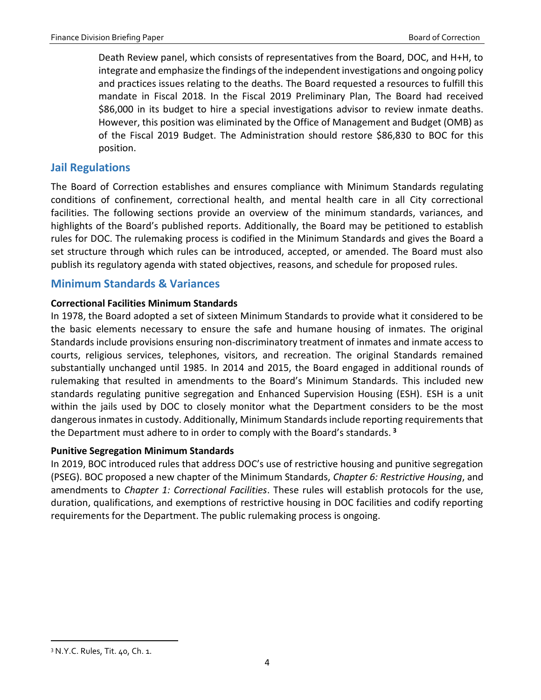Death Review panel, which consists of representatives from the Board, DOC, and H+H, to integrate and emphasize the findings of the independent investigations and ongoing policy and practices issues relating to the deaths. The Board requested a resources to fulfill this mandate in Fiscal 2018. In the Fiscal 2019 Preliminary Plan, The Board had received \$86,000 in its budget to hire a special investigations advisor to review inmate deaths. However, this position was eliminated by the Office of Management and Budget (OMB) as of the Fiscal 2019 Budget. The Administration should restore \$86,830 to BOC for this position.

# <span id="page-5-0"></span>**Jail Regulations**

The Board of Correction establishes and ensures compliance with Minimum Standards regulating conditions of confinement, correctional health, and mental health care in all City correctional facilities. The following sections provide an overview of the minimum standards, variances, and highlights of the Board's published reports. Additionally, the Board may be petitioned to establish rules for DOC. The rulemaking process is codified in the Minimum Standards and gives the Board a set structure through which rules can be introduced, accepted, or amended. The Board must also publish its regulatory agenda with stated objectives, reasons, and schedule for proposed rules.

# <span id="page-5-1"></span>**Minimum Standards & Variances**

#### **Correctional Facilities Minimum Standards**

In 1978, the Board adopted a set of sixteen Minimum Standards to provide what it considered to be the basic elements necessary to ensure the safe and humane housing of inmates. The original Standards include provisions ensuring non-discriminatory treatment of inmates and inmate access to courts, religious services, telephones, visitors, and recreation. The original Standards remained substantially unchanged until 1985. In 2014 and 2015, the Board engaged in additional rounds of rulemaking that resulted in amendments to the Board's Minimum Standards. This included new standards regulating punitive segregation and Enhanced Supervision Housing (ESH). ESH is a unit within the jails used by DOC to closely monitor what the Department considers to be the most dangerous inmates in custody. Additionally, Minimum Standards include reporting requirements that the Department must adhere to in order to comply with the Board's standards. **<sup>3</sup>**

# **Punitive Segregation Minimum Standards**

In 2019, BOC introduced rules that address DOC's use of restrictive housing and punitive segregation (PSEG). BOC proposed a new chapter of the Minimum Standards, *Chapter 6: Restrictive Housing*, and amendments to *Chapter 1: Correctional Facilities*. These rules will establish protocols for the use, duration, qualifications, and exemptions of restrictive housing in DOC facilities and codify reporting requirements for the Department. The public rulemaking process is ongoing.

 $\overline{a}$ 

<sup>3</sup> N.Y.C. Rules, Tit. 40, Ch. 1.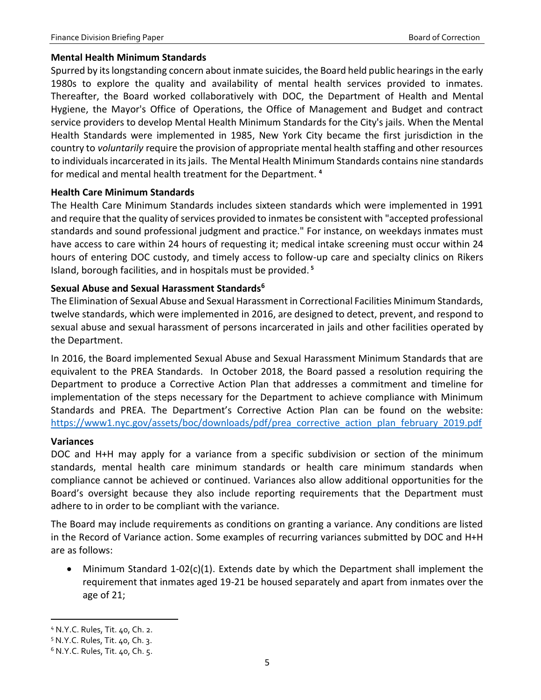#### **Mental Health Minimum Standards**

Spurred by its longstanding concern about inmate suicides, the Board held public hearings in the early 1980s to explore the quality and availability of mental health services provided to inmates. Thereafter, the Board worked collaboratively with DOC, the Department of Health and Mental Hygiene, the Mayor's Office of Operations, the Office of Management and Budget and contract service providers to develop Mental Health Minimum Standards for the City's jails. When the Mental Health Standards were implemented in 1985, New York City became the first jurisdiction in the country to *voluntarily* require the provision of appropriate mental health staffing and other resources to individuals incarcerated in its jails. The Mental Health Minimum Standards contains nine standards for medical and mental health treatment for the Department. **<sup>4</sup>**

#### **Health Care Minimum Standards**

The Health Care Minimum Standards includes sixteen standards which were implemented in 1991 and require that the quality of services provided to inmates be consistent with "accepted professional standards and sound professional judgment and practice." For instance, on weekdays inmates must have access to care within 24 hours of requesting it; medical intake screening must occur within 24 hours of entering DOC custody, and timely access to follow-up care and specialty clinics on Rikers Island, borough facilities, and in hospitals must be provided. **<sup>5</sup>**

# **Sexual Abuse and Sexual Harassment Standards<sup>6</sup>**

The Elimination of Sexual Abuse and Sexual Harassment in Correctional Facilities Minimum Standards, twelve standards, which were implemented in 2016, are designed to detect, prevent, and respond to sexual abuse and sexual harassment of persons incarcerated in jails and other facilities operated by the Department.

In 2016, the Board implemented Sexual Abuse and Sexual Harassment Minimum Standards that are equivalent to the PREA Standards. In October 2018, the Board passed a resolution requiring the Department to produce a Corrective Action Plan that addresses a commitment and timeline for implementation of the steps necessary for the Department to achieve compliance with Minimum Standards and PREA. The Department's Corrective Action Plan can be found on the website: [https://www1.nyc.gov/assets/boc/downloads/pdf/prea\\_corrective\\_action\\_plan\\_february\\_2019.pdf](https://www1.nyc.gov/assets/boc/downloads/pdf/prea_corrective_action_plan_february_2019.pdf)

#### **Variances**

DOC and H+H may apply for a variance from a specific subdivision or section of the minimum standards, mental health care minimum standards or health care minimum standards when compliance cannot be achieved or continued. Variances also allow additional opportunities for the Board's oversight because they also include reporting requirements that the Department must adhere to in order to be compliant with the variance.

The Board may include requirements as conditions on granting a variance. Any conditions are listed in the Record of Variance action. Some examples of recurring variances submitted by DOC and H+H are as follows:

 Minimum Standard 1-02(c)(1). Extends date by which the Department shall implement the requirement that inmates aged 19-21 be housed separately and apart from inmates over the age of 21;

 $\overline{a}$ <sup>4</sup> N.Y.C. Rules, Tit. 40, Ch. 2.

<sup>5</sup> N.Y.C. Rules, Tit. 40, Ch. 3.

<sup>6</sup> N.Y.C. Rules, Tit. 40, Ch. 5.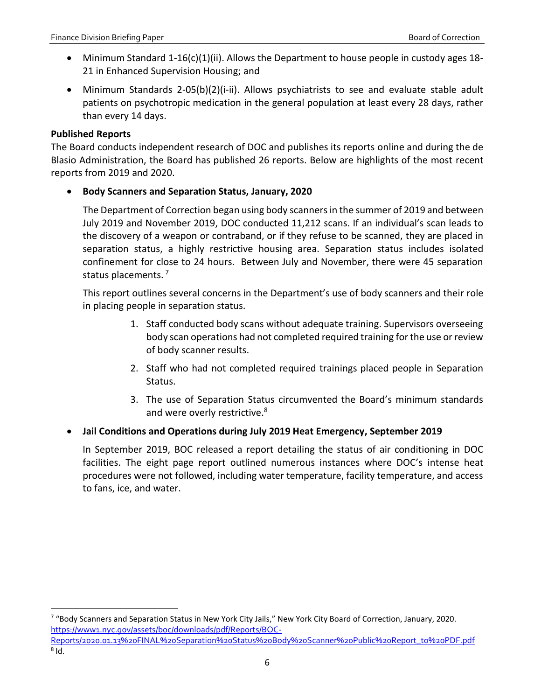- Minimum Standard 1-16(c)(1)(ii). Allows the Department to house people in custody ages 18- 21 in Enhanced Supervision Housing; and
- Minimum Standards 2-05(b)(2)(i-ii). Allows psychiatrists to see and evaluate stable adult patients on psychotropic medication in the general population at least every 28 days, rather than every 14 days.

# **Published Reports**

 $\overline{\phantom{a}}$ 

The Board conducts independent research of DOC and publishes its reports online and during the de Blasio Administration, the Board has published 26 reports. Below are highlights of the most recent reports from 2019 and 2020.

# **Body Scanners and Separation Status, January, 2020**

The Department of Correction began using body scanners in the summer of 2019 and between July 2019 and November 2019, DOC conducted 11,212 scans. If an individual's scan leads to the discovery of a weapon or contraband, or if they refuse to be scanned, they are placed in separation status, a highly restrictive housing area. Separation status includes isolated confinement for close to 24 hours. Between July and November, there were 45 separation status placements.<sup>7</sup>

This report outlines several concerns in the Department's use of body scanners and their role in placing people in separation status.

- 1. Staff conducted body scans without adequate training. Supervisors overseeing body scan operations had not completed required training for the use or review of body scanner results.
- 2. Staff who had not completed required trainings placed people in Separation Status.
- 3. The use of Separation Status circumvented the Board's minimum standards and were overly restrictive.<sup>8</sup>

# **Jail Conditions and Operations during July 2019 Heat Emergency, September 2019**

In September 2019, BOC released a report detailing the status of air conditioning in DOC facilities. The eight page report outlined numerous instances where DOC's intense heat procedures were not followed, including water temperature, facility temperature, and access to fans, ice, and water.

<sup>7</sup> "Body Scanners and Separation Status in New York City Jails," New York City Board of Correction, January, 2020. [https://www1.nyc.gov/assets/boc/downloads/pdf/Reports/BOC-](https://www1.nyc.gov/assets/boc/downloads/pdf/Reports/BOC-Reports/2020.01.13%20FINAL%20Separation%20Status%20Body%20Scanner%20Public%20Report_to%20PDF.pdf)

[Reports/2020.01.13%20FINAL%20Separation%20Status%20Body%20Scanner%20Public%20Report\\_to%20PDF.pdf](https://www1.nyc.gov/assets/boc/downloads/pdf/Reports/BOC-Reports/2020.01.13%20FINAL%20Separation%20Status%20Body%20Scanner%20Public%20Report_to%20PDF.pdf)  $^8$  Id.